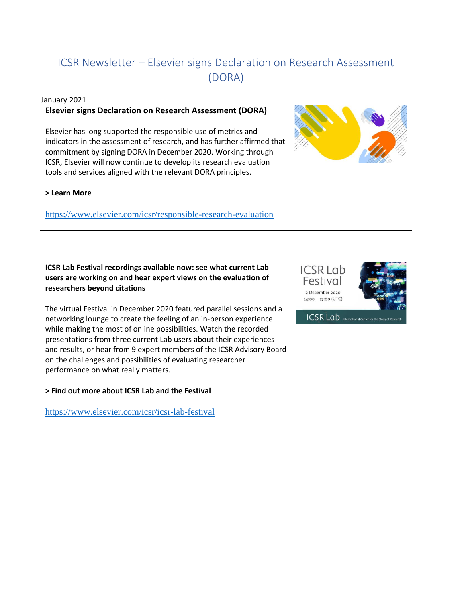# ICSR Newsletter – Elsevier signs Declaration on Research Assessment (DORA)

## January 2021 **Elsevier signs Declaration on Research Assessment (DORA)**

Elsevier has long supported the responsible use of metrics and indicators in the assessment of research, and has further affirmed that commitment by signing DORA in December 2020. Working through ICSR, Elsevier will now continue to develop its research evaluation tools and services aligned with the relevant DORA principles.



<https://www.elsevier.com/icsr/responsible-research-evaluation>

**ICSR Lab Festival recordings available now: see what current Lab users are working on and hear expert views on the evaluation of researchers beyond citations**

The virtual Festival in December 2020 featured parallel sessions and a networking lounge to create the feeling of an in-person experience while making the most of online possibilities. Watch the recorded presentations from three current Lab users about their experiences and results, or hear from 9 expert members of the ICSR Advisory Board on the challenges and possibilities of evaluating researcher performance on what really matters.

## **> Find out more about ICSR Lab and the Festival**

<https://www.elsevier.com/icsr/icsr-lab-festival>